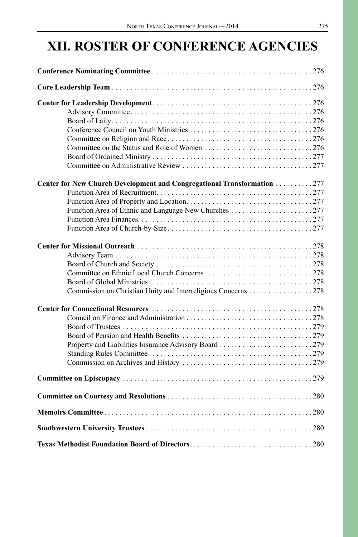# **XII. ROSTER OF CONFERENCE AGENCIES**

| Center for New Church Development and Congregational Transformation 277 |  |
|-------------------------------------------------------------------------|--|
|                                                                         |  |
|                                                                         |  |
|                                                                         |  |
|                                                                         |  |
|                                                                         |  |
|                                                                         |  |
|                                                                         |  |
|                                                                         |  |
|                                                                         |  |
|                                                                         |  |
| Commission on Christian Unity and Interreligious Concerns 278           |  |
|                                                                         |  |
|                                                                         |  |
|                                                                         |  |
|                                                                         |  |
|                                                                         |  |
|                                                                         |  |
|                                                                         |  |
|                                                                         |  |
|                                                                         |  |
|                                                                         |  |
|                                                                         |  |
|                                                                         |  |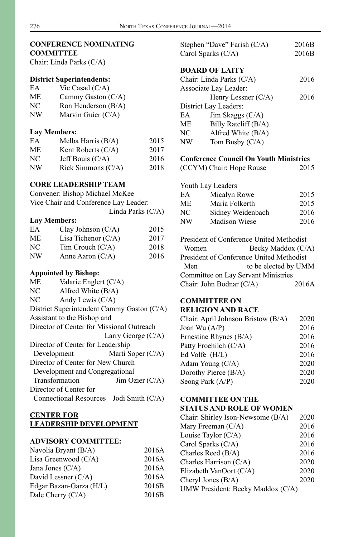#### **CONFERENCE NOMINATING COMMITTEE**

Chair: Linda Parks (C/A)

#### **District Superintendents:**

| EA          | Vic Casad $(C/A)$                                   |
|-------------|-----------------------------------------------------|
| МE          | Cammy Gaston $(C/A)$                                |
| NC          | Ron Henderson (B/A)                                 |
| <b>ATTT</b> | $\mathbf{M}$ $\mathbf{M}$ $\mathbf{M}$ $\mathbf{M}$ |

NW Marvin Guier (C/A)

# **Lay Members:**

| EA | Melba Harris $(B/A)$ | 2015 |
|----|----------------------|------|
| МE | Kent Roberts $(C/A)$ | 2017 |
| NC | Jeff Bouis $(C/A)$   | 2016 |
| NW | Rick Simmons (C/A)   | 2018 |

# **CORE LEADERSHIP TEAM**

| Convener: Bishop Michael McKee        |
|---------------------------------------|
| Vice Chair and Conference Lay Leader: |
| Linda Parks $(C/A)$                   |

#### **Lay Members:**

| EA | Clay Johnson $(C/A)$  | 2015 |
|----|-----------------------|------|
| МE | Lisa Tichenor $(C/A)$ | 2017 |
| NС | $Tim$ Crouch $(C/A)$  | 2018 |
| NW | Anne Aaron $(C/A)$    | 2016 |

# **Appointed by Bishop:**

| ME | Valarie Englert (C/A)                      |                      |
|----|--------------------------------------------|----------------------|
| NC | Alfred White $(B/A)$                       |                      |
| NC | Andy Lewis $(C/A)$                         |                      |
|    | District Superintendent Cammy Gaston (C/A) |                      |
|    | Assistant to the Bishop and                |                      |
|    | Director of Center for Missional Outreach  |                      |
|    |                                            | Larry George $(C/A)$ |
|    | Director of Center for Leadership          |                      |
|    | Development                                | Marti Soper (C/A)    |
|    | Director of Center for New Church          |                      |
|    | Development and Congregational             |                      |
|    | Transformation                             | Jim Ozier $(C/A)$    |
|    | Director of Center for                     |                      |
|    | Connectional Resources Jodi Smith (C/A)    |                      |

#### **CENTER FOR LEADERSHIP DEVELOPMENT**

## **ADVISORY COMMITTEE:**

| Navolia Bryant (B/A)    | 2016A |
|-------------------------|-------|
| Lisa Greenwood $(C/A)$  | 2016A |
| Jana Jones $(C/A)$      | 2016A |
| David Lessner (C/A)     | 2016A |
| Edgar Bazan-Garza (H/L) | 2016B |
| Dale Cherry $(C/A)$     | 2016B |
|                         |       |

|                          | Stephen "Dave" Farish (C/A) | 2016B |
|--------------------------|-----------------------------|-------|
| Carol Sparks $(C/A)$     |                             | 2016B |
|                          | <b>BOARD OF LAITY</b>       |       |
| Chair: Linda Parks (C/A) |                             | 2016  |
|                          | Associate Lay Leader:       |       |
|                          | Henry Lessner $(C/A)$       | 2016  |
|                          | District Lay Leaders:       |       |
| EA                       | $\text{Jim Skaggs (C/A)}$   |       |
| ME.                      | Billy Ratcliff (B/A)        |       |
| NC                       | Alfred White $(B/A)$        |       |
| NW                       | Tom Busby $(C/A)$           |       |
|                          |                             |       |

## **Conference Council On Youth Ministries**

| (CCYM) Chair: Hope Rouse | 2015 |
|--------------------------|------|
|--------------------------|------|

|    | Youth Lay Leaders    |      |
|----|----------------------|------|
| EA | Micalyn Rowe         | 2015 |
| МE | Maria Folkerth       | 2015 |
| NС | Sidney Weidenbach    | 2016 |
| NW | <b>Madison Wiese</b> | 2016 |
|    |                      |      |

|                          | President of Conference United Methodist   |
|--------------------------|--------------------------------------------|
| Women                    | Becky Maddox (C/A)                         |
|                          | President of Conference United Methodist   |
| Men                      | to be elected by UMM                       |
|                          | <b>Committee on Lay Servant Ministries</b> |
| Chair: John Bodnar (C/A) | 2016A                                      |

# **COMMITTEE ON**

#### **RELIGION AND RACE**

| Chair: April Johnson Bristow (B/A) | 2020 |
|------------------------------------|------|
| Joan Wu (A/P)                      | 2016 |
| Ernestine Rhynes (B/A)             | 2016 |
| Patty Froehilch (C/A)              | 2016 |
| Ed Volfe (H/L)                     | 2016 |
| Adam Young (C/A)                   | 2020 |
| Dorothy Pierce (B/A)               | 2020 |
| Seong Park (A/P)                   | 2020 |
|                                    |      |

# **COMMITTEE ON THE**

### **STATUS AND ROLE OF WOMEN**

| 2020 |
|------|
| 2016 |
| 2016 |
| 2016 |
| 2016 |
| 2020 |
| 2020 |
| 2020 |
|      |
|      |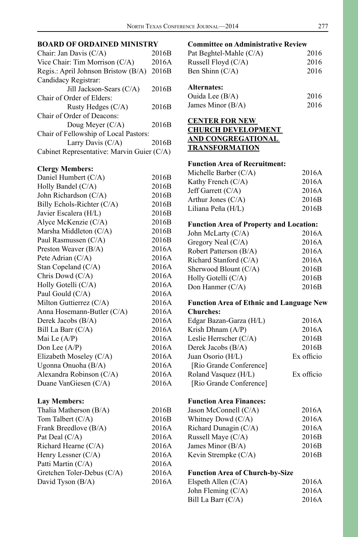# **BOARD OF ORDAINED MINISTRY**

| Chair: Jan Davis (C/A)                     | 2016B |
|--------------------------------------------|-------|
| Vice Chair: Tim Morrison $(C/A)$           | 2016A |
| Regis.: April Johnson Bristow (B/A)        | 2016B |
| Candidacy Registrar:                       |       |
| Jill Jackson-Sears (C/A)                   | 2016B |
| Chair of Order of Elders:                  |       |
| Rusty Hedges $(C/A)$                       | 2016B |
| Chair of Order of Deacons:                 |       |
| Doug Meyer $(C/A)$                         | 2016B |
| Chair of Fellowship of Local Pastors:      |       |
| Larry Davis $(C/A)$                        | 2016B |
| Cabinet Representative: Marvin Guier (C/A) |       |
|                                            |       |

#### **Clergy Members:**

| Daniel Humbert (C/A)       | 2016B |
|----------------------------|-------|
| Holly Bandel (C/A)         | 2016B |
| John Richardson (C/A)      | 2016B |
| Billy Echols-Richter (C/A) | 2016B |
| Javier Escalera (H/L)      | 2016B |
| Alyce McKenzie (C/A)       | 2016B |
| Marsha Middleton (C/A)     | 2016B |
| Paul Rasmussen (C/A)       | 2016B |
| Preston Weaver (B/A)       | 2016A |
| Pete Adrian (C/A)          | 2016A |
| Stan Copeland (C/A)        | 2016A |
| Chris Dowd (C/A)           | 2016A |
| Holly Gotelli (C/A)        | 2016A |
| Paul Gould (C/A)           | 2016A |
| Milton Guttierrez (C/A)    | 2016A |
| Anna Hosemann-Butler (C/A) | 2016A |
| Derek Jacobs (B/A)         | 2016A |
| Bill La Barr (C/A)         | 2016A |
| Mai Le $(A/P)$             | 2016A |
| Don Lee $(A/P)$            | 2016A |
| Elizabeth Moseley (C/A)    | 2016A |
| Ugonna Onuoha (B/A)        | 2016A |
| Alexandra Robinson (C/A)   | 2016A |
| Duane VanGiesen (C/A)      | 2016A |
|                            |       |

# **Lay Members:**

| Thalia Matherson (B/A)     | 2016B |
|----------------------------|-------|
| Tom Talbert (C/A)          | 2016B |
| Frank Breedlove (B/A)      | 2016A |
| Pat Deal (C/A)             | 2016A |
| Richard Hearne (C/A)       | 2016A |
| Henry Lessner (C/A)        | 2016A |
| Patti Martin (C/A)         | 2016A |
| Gretchen Toler-Debus (C/A) | 2016A |
| David Tyson (B/A)          | 2016A |

# **Committee on Administrative Review**

| Pat Beghtel-Mahle (C/A) | 2016 |
|-------------------------|------|
| Russell Floyd $(C/A)$   | 2016 |
| Ben Shinn $(C/A)$       | 2016 |
| Alternates:             |      |

| Ouida Lee $(B/A)$   | 2016 |
|---------------------|------|
| James Minor $(B/A)$ | 2016 |

## **CENTER FOR NEW CHURCH DEVELOPMENT AND CONGREGATIONAL TRANSFORMATION**

#### **Function Area of Recruitment:**

| Michelle Barber $(C/A)$ | 2016A             |
|-------------------------|-------------------|
| Kathy French $(C/A)$    | 2016A             |
| Jeff Garrett $(C/A)$    | 2016A             |
| Arthur Jones $(C/A)$    | 2016 <sub>B</sub> |
| Liliana Peña (H/L)      | 2016 <sub>B</sub> |

# **Function Area of Property and Location:**

| John McLarty (C/A)     | 2016A |
|------------------------|-------|
| Gregory Neal (C/A)     | 2016A |
| Robert Patterson (B/A) | 2016A |
| Richard Stanford (C/A) | 2016A |
| Sherwood Blount (C/A)  | 2016B |
| Holly Gotelli (C/A)    | 2016B |
| Don Hanmer $(C/A)$     | 2016B |
|                        |       |

#### **Function Area of Ethnic and Language New Churches:**

| Edgar Bazan-Garza (H/L) | 2016A      |
|-------------------------|------------|
| Krish Dhnam $(A/P)$     | 2016A      |
| Leslie Herrscher (C/A)  | 2016B      |
| Derek Jacobs (B/A)      | 2016B      |
| Juan Osorio (H/L)       | Ex officio |
| [Rio Grande Conference] |            |
| Roland Vasquez (H/L)    | Ex officio |
| [Rio Grande Conference] |            |

# **Function Area Finances:**

| Jason McConnell $(C/A)$ | 2016A |
|-------------------------|-------|
| Whitney Dowd (C/A)      | 2016A |
| Richard Dunagin $(C/A)$ | 2016A |
| Russell Maye $(C/A)$    | 2016B |
| James Minor $(B/A)$     | 2016B |
| Kevin Strempke (C/A)    | 2016B |
|                         |       |

#### **Function Area of Church-by-Size**

| Elspeth Allen $(C/A)$ | 2016A |
|-----------------------|-------|
| John Fleming $(C/A)$  | 2016A |
| Bill La Barr $(C/A)$  | 2016A |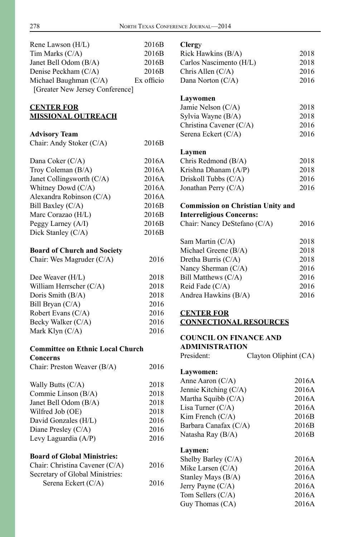| Rene Lawson (H/L)                                   | 2016B      | Clergy                                   |                       |
|-----------------------------------------------------|------------|------------------------------------------|-----------------------|
| Tim Marks (C/A)                                     | 2016B      | Rick Hawkins (B/A)                       | 2018                  |
| Janet Bell Odom (B/A)                               | 2016B      | Carlos Nascimento (H/L)                  | 2018                  |
| Denise Peckham (C/A)                                | 2016B      | Chris Allen (C/A)                        | 2016                  |
| Michael Baughman (C/A)                              | Ex officio | Dana Norton (C/A)                        | 2016                  |
| [Greater New Jersey Conference]                     |            |                                          |                       |
|                                                     |            | Laywomen                                 |                       |
| <b>CENTER FOR</b>                                   |            | Jamie Nelson (C/A)                       | 2018                  |
| <b>MISSIONAL OUTREACH</b>                           |            | Sylvia Wayne (B/A)                       | 2018                  |
|                                                     |            | Christina Cavener (C/A)                  | 2016                  |
| <b>Advisory Team</b>                                |            | Serena Eckert (C/A)                      | 2016                  |
| Chair: Andy Stoker (C/A)                            | 2016B      |                                          |                       |
|                                                     |            | Laymen                                   |                       |
| Dana Coker (C/A)                                    | 2016A      | Chris Redmond (B/A)                      | 2018                  |
| Troy Coleman (B/A)                                  | 2016A      | Krishna Dhanam (A/P)                     | 2018                  |
| Janet Collingsworth (C/A)                           | 2016A      | Driskoll Tubbs (C/A)                     | 2016                  |
| Whitney Dowd (C/A)                                  | 2016A      | Jonathan Perry (C/A)                     | 2016                  |
| Alexandra Robinson (C/A)                            | 2016A      |                                          |                       |
| Bill Baxley (C/A)                                   | 2016B      | <b>Commission on Christian Unity and</b> |                       |
| Marc Corazao (H/L)                                  | 2016B      | <b>Interreligious Concerns:</b>          |                       |
| Peggy Larney (A/I)                                  | 2016B      | Chair: Nancy DeStefano (C/A)             | 2016                  |
| Dick Stanley (C/A)                                  | 2016B      |                                          |                       |
|                                                     |            | Sam Martin (C/A)                         | 2018                  |
| <b>Board of Church and Society</b>                  |            | Michael Greene (B/A)                     | 2018                  |
| Chair: Wes Magruder (C/A)                           | 2016       | Dretha Burris (C/A)                      | 2018                  |
|                                                     |            | Nancy Sherman (C/A)                      | 2016                  |
| Dee Weaver (H/L)                                    | 2018       | Bill Matthews (C/A)                      | 2016                  |
| William Herrscher (C/A)                             | 2018       | Reid Fade (C/A)                          | 2016                  |
| Doris Smith (B/A)                                   | 2018       | Andrea Hawkins (B/A)                     | 2016                  |
| Bill Bryan (C/A)                                    | 2016       |                                          |                       |
| Robert Evans (C/A)                                  | 2016       | <b>CENTER FOR</b>                        |                       |
| Becky Walker (C/A)                                  | 2016       | <b>CONNECTIONAL RESOURCES</b>            |                       |
| Mark Klyn (C/A)                                     | 2016       | <b>COUNCIL ON FINANCE AND</b>            |                       |
|                                                     |            | <b>ADMINISTRATION</b>                    |                       |
| <b>Committee on Ethnic Local Church</b><br>Concerns |            | President:                               | Clayton Oliphint (CA) |
| Chair: Preston Weaver (B/A)                         | 2016       |                                          |                       |
|                                                     |            | Laywomen:                                |                       |
| Wally Butts (C/A)                                   | 2018       | Anne Aaron (C/A)                         | 2016A                 |
| Commie Linson (B/A)                                 | 2018       | Jennie Kitching (C/A)                    | 2016A                 |
| Janet Bell Odom (B/A)                               | 2018       | Martha Squibb (C/A)                      | 2016A                 |
| Wilfred Job (OE)                                    | 2018       | Lisa Turner $(C/A)$                      | 2016A                 |
| David Gonzales (H/L)                                | 2016       | Kim French (C/A)                         | 2016B                 |
| Diane Presley (C/A)                                 | 2016       | Barbara Canafax (C/A)                    | 2016B                 |
| Levy Laguardia (A/P)                                | 2016       | Natasha Ray (B/A)                        | 2016B                 |
|                                                     |            |                                          |                       |
| <b>Board of Global Ministries:</b>                  |            | Laymen:                                  |                       |
| Chair: Christina Cavener (C/A)                      | 2016       | Shelby Barley (C/A)                      | 2016A                 |
| Secretary of Global Ministries:                     |            | Mike Larsen $(C/A)$                      | 2016A                 |
| Serena Eckert (C/A)                                 | 2016       | Stanley Mays (B/A)                       | 2016A                 |
|                                                     |            | Jerry Payne (C/A)<br>Tom Sellers (C/A)   | 2016A<br>2016A        |
|                                                     |            | Guy Thomas (CA)                          | 2016A                 |
|                                                     |            |                                          |                       |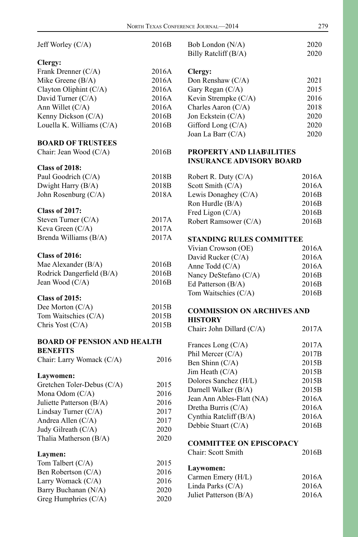| Jeff Worley (C/A)                  | 2016B | Bob London (N/A)                  | 2020  |
|------------------------------------|-------|-----------------------------------|-------|
|                                    |       | Billy Ratcliff (B/A)              | 2020  |
| Clergy:                            |       |                                   |       |
| Frank Drenner (C/A)                | 2016A | Clergy:                           |       |
| Mike Greene (B/A)                  | 2016A | Don Renshaw (C/A)                 | 2021  |
| Clayton Oliphint (C/A)             | 2016A | Gary Regan (C/A)                  | 2015  |
| David Turner (C/A)                 | 2016A | Kevin Strempke (C/A)              | 2016  |
| Ann Willet (C/A)                   | 2016A | Charles Aaron (C/A)               | 2018  |
| Kenny Dickson (C/A)                | 2016B | Jon Eckstein (C/A)                | 2020  |
| Louella K. Williams (C/A)          | 2016B | Gifford Long (C/A)                | 2020  |
|                                    |       | Joan La Barr (C/A)                | 2020  |
| <b>BOARD OF TRUSTEES</b>           |       |                                   |       |
| Chair: Jean Wood (C/A)             | 2016B | <b>PROPERTY AND LIAB\ILITIES</b>  |       |
|                                    |       | <b>INSURANCE ADVISORY BOARD</b>   |       |
| <b>Class of 2018:</b>              |       |                                   |       |
| Paul Goodrich (C/A)                | 2018B | Robert R. Duty $(C/A)$            | 2016A |
| Dwight Harry (B/A)                 | 2018B | Scott Smith (C/A)                 | 2016A |
| John Rosenburg (C/A)               | 2018A | Lewis Donaghey (C/A)              | 2016B |
|                                    |       | Ron Hurdle (B/A)                  | 2016B |
| <b>Class of 2017:</b>              |       | Fred Ligon (C/A)                  | 2016B |
| Steven Turner (C/A)                | 2017A | Robert Ramsower (C/A)             | 2016B |
| Keva Green (C/A)                   | 2017A |                                   |       |
| Brenda Williams (B/A)              | 2017A | <b>STANDING RULES COMMITTEE</b>   |       |
|                                    |       | Vivian Crowson (OE)               | 2016A |
| <b>Class of 2016:</b>              |       | David Rucker (C/A)                | 2016A |
| Mae Alexander (B/A)                | 2016B | Anne Todd (C/A)                   | 2016A |
| Rodrick Dangerfield (B/A)          | 2016B | Nancy DeStefano (C/A)             | 2016B |
| Jean Wood (C/A)                    | 2016B | Ed Patterson (B/A)                | 2016B |
|                                    |       | Tom Waitschies (C/A)              | 2016B |
| <b>Class of 2015:</b>              |       |                                   |       |
| Dee Morton (C/A)                   | 2015B | <b>COMMISSION ON ARCHIVES AND</b> |       |
| Tom Waitschies (C/A)               | 2015B | <b>HISTORY</b>                    |       |
| Chris Yost (C/A)                   | 2015B | Chair: John Dillard (C/A)         | 2017A |
| <b>BOARD OF PENSION AND HEALTH</b> |       |                                   |       |
| <b>BENEFITS</b>                    |       | Frances Long $(C/A)$              | 2017A |
| Chair: Larry Womack (C/A)          | 2016  | Phil Mercer (C/A)                 | 2017B |
|                                    |       | Ben Shinn (C/A)                   | 2015B |
| Laywomen:                          |       | Jim Heath (C/A)                   | 2015B |
| Gretchen Toler-Debus (C/A)         | 2015  | Dolores Sanchez (H/L)             | 2015B |
| Mona Odom (C/A)                    | 2016  | Darnell Walker (B/A)              | 2015B |
| Juliette Patterson (B/A)           | 2016  | Jean Ann Ables-Flatt (NA)         | 2016A |
| Lindsay Turner (C/A)               | 2017  | Dretha Burris (C/A)               | 2016A |
| Andrea Allen (C/A)                 | 2017  | Cynthia Ratcliff (B/A)            | 2016A |
| Judy Gilreath (C/A)                | 2020  | Debbie Stuart (C/A)               | 2016B |
| Thalia Matherson (B/A)             | 2020  |                                   |       |
|                                    |       | <b>COMMITTEE ON EPISCOPACY</b>    |       |
| Laymen:                            |       | Chair: Scott Smith                | 2016B |
| Tom Talbert (C/A)                  | 2015  |                                   |       |
| Ben Robertson (C/A)                | 2016  | Laywomen:                         |       |
| Larry Womack (C/A)                 | 2016  | Carmen Emery (H/L)                | 2016A |
| Barry Buchanan (N/A)               | 2020  | Linda Parks (C/A)                 | 2016A |
| Greg Humphries (C/A)               | 2020  | Juliet Patterson (B/A)            | 2016A |
|                                    |       |                                   |       |